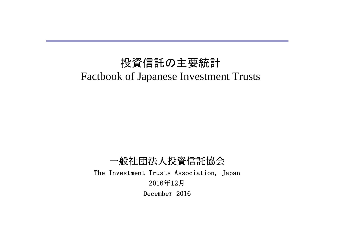# 投資信託の主要統計 Factbook of Japanese Investment Trusts

一般社団法人投資信託協会 The Investment Trusts Association, Japan 2016年12月 December 2016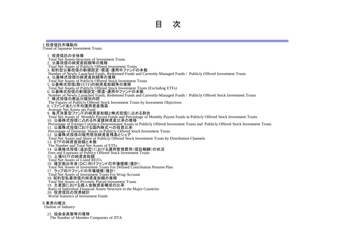#### Ⅰ投資信託市場動向

Trend of Japanese Investment Trusts

1. 投資信託の全体像 Total Net Assets-Structure of Investment Trusts 2.公募投信の純資産総額等の推移 Total Net Assets of Publicly Offered Investment Trusts 3. 契約型公募投信の新規設定・償還・運用中ファンドの本数 Number of Newly Launched Funds, Redeemed Funds and Currently-Managed Funds / Publicly Offered Investment Trusts 4.公募株式投信の純資産総額等の推移 Total Net Assets of Publicly Offered Stock Investment Trusts 5. 公募株式投信(除くETF)の純資産総額等の推移 Total Net Assets of Publicly Offered Stock Investment Trusts (Excluding ETFs) 6. 公募株式投信の新規設定・償還・運用中ファンドの本数 Number of Newly Launched Funds, Redeemed Funds and Currently-Managed Funds / Publicly Offered Stock Investment Trusts 7.株式投信の商品分類別内訳 The Figures of Publicly Offered Stock Investment Trusts by Investment Objectives 8. 1ファンドあたり平均運用資産残高 Average Net Assets per Fund 9.毎月決算型ファンドの純資産総額と株式投信に占める割合 Total Net Assets of Monthly Payout Funds and Percentage of Monthly Payout Funds in Publicly Offered Stock Investment Trusts 10.公募株式投信に占める外貨建純資産比率の推移 Percentage of Foreign Currency-Denominated Assets in Publicly Offered Investment Trusts and Publicly Offered Stock Investment Trusts 11. 公募株式投信における国内株式への投資比率 Percentage of Domestic Shares in Publicly Offered Stock Investment Trusts 12. 公募株式投信の販売態別純資産残高とシェア Total Net Assets and Share of Publicly Offered Stock Investment Trusts by Distribution Channels 13.ETFの純資産総額と本数 The Number and Total Net Assets of ETFs 14.公募株式投信(追加型)における運用管理費用(信託報酬)の状況 Fees and Expenses of Publicy Offered Stock Investment Trusts 15.上場REITの純資産総額 Total Net Assets of Listed REITs 16.確定拠出年金(DC)向けファンドの市場規模(推計) Total Net Assets of Investment Trusts For Defined Contribution Pension Plan 17.ラップ向けファンドの市場規模(推計) Total Net Assets of Investment Trusts For Wrap Account 18. 契約型私募投信の純資産総額の推移 Total Net Assets of Privately Placed Investment Trusts 19.主要国における個人金融資産構成の比率 Ratio of Individual Financial Assets Structure in the Major Countries 20.投資信託の世界統計 World Statistics of Investment Funds

#### Ⅱ業界の概況

Outline of Industry

#### 21.協会会員数等の推移

The Number of Member Companies of JITA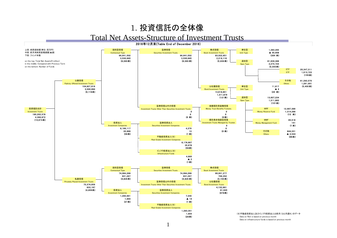#### 1. 投資信託の全体像

#### Total Net Assets-Structure of Investment Trusts

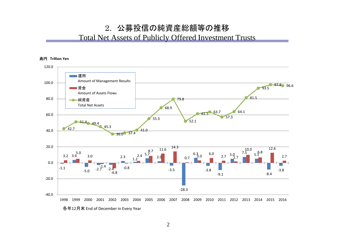#### 2. 公募投信の純資産総額等の推移

#### Total Net Assets of Publicly Offered Investment Trusts



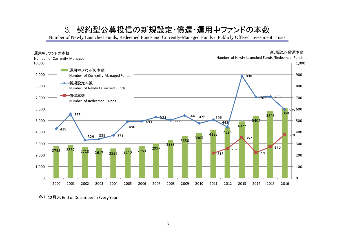### 3. 契約型公募投信の新規設定・償還・運用中ファンドの本数

Number of Newly Launched Funds, Redeemed Funds and Currently-Managed Funds / Publicly Offered Investment Trusts



各年12月末 End of December in Every Year.

3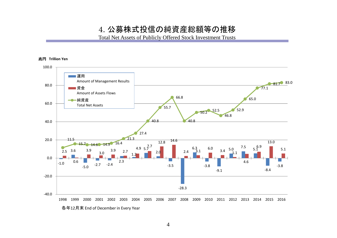#### 4. 公募株式投信の純資産総額等の推移

Total Net Assets of Publicly Offered Stock Investment Trusts

#### 兆円 **Trillion Yen**

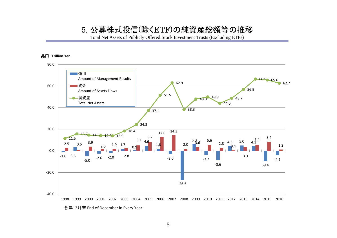#### 5. 公募株式投信(除くETF)の純資産総額等の推移

Total Net Assets of Publicly Offered Stock Investment Trusts (Excluding ETFs)

#### 兆円 **Trillion Yen**



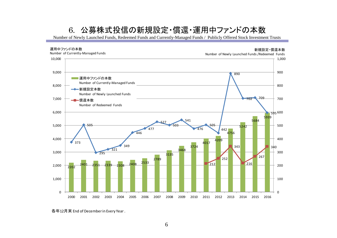## 6. 公募株式投信の新規設定・償還・運用中ファンドの本数

Number of Newly Launched Funds, Redeemed Funds and Currently-Managed Funds / Publicly Offered Stock Investment Trusts



各年12月末 End of December in Every Year .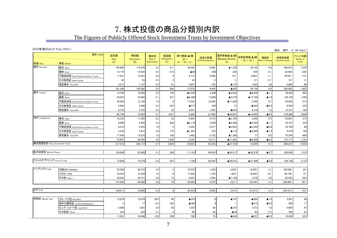#### 7. 株式投信の商品分類別内訳

The Figures of Publicly Offered Stock Investment Trusts by Investment Objectives

2016年末(End of Year 2016 )

地域 Area 資産 Assets 株式 Stock 145,880 115,076 3.5 411 30,393 5,962 ▲1,238 29,155 0.9 290,972 1,036 債券 Bond 15,170 | 14,822 | 4.2 | 14.4 | ▲66 | 266 | 324 | 258 | 0.1 | 29,499 | 228 不動産投信 Real Estate Investment Trusts 17,201 12,481 2.8 8 4,712 3,086 151 4,863 1.1 39,951 118 その他資産 Other Assets 82 | 55 | 3 | 24 | 0 | 3 | 27 | 97 | 4 資産複合 Asset Mix 3,215 | 1,147 | 2.4 | 61 | 2,007 | 150 | ▲175 | 1,832 | 3.8 | 4,944 | 66 181,548 143,580 3.4 898 37,070 9,464 ▲935 36,136 0.9 365,463 1,452 株式 Stock 13,796 18,659 2.5 159 ▲5,022 3,496 ▲3,034 ▲8,056 ▲1.1 59,383 805 債券 Bond 28,925 34,884 1.2.1 ▲6,380 13,686 ▲9,378 ▲1.5,758 ▲1.0 129,198 1,260 不動産投信 Real Estate Investment Trusts 29,369 | 12,136 | 1.6 0 | 17,232 | 12,526 ▲11,864 5,368 0.7 64,265 215 その他資産 Other Assets | 3,944 | 4,099 | 3.3 | 422 | ▲577 | 12 | ▲565 | ▲0.5 | 9,953 | 232 資産複合 Asset Mix 6,726 3,725 2.4 50 2,951 1,392 ▲633 2,318 1.5 14,187 184 82,758 73,503 2.1 1,051 8,204 31,560 ▲24,897 ▲16,693 ▲0.5 276,986 2,696 株式 Stock 16,232 | 11,555 | 2.3 | 4,624 | 2,516 | ▲2,165 | 2,458 | 0.5 | 42,887 | 315 債券 Bond | 8,000 | 9,499 | 2.2| 680 | ▲2,179 | △2,366 | ▲4,545 | ▲1.1 | 33,791 | 332 不動産投信 Real Estate Investment Trusts 8.516 5.252 1.6 0 3.265 ▲5.853 ▲2.588 ▲0.8 25.784 88 その他資産 Other Assets 2,870 3,972 3.0 779 ▲1,881 ▲2,000 ▲1.5 9,976 196 資産複合 Asset Mix 17,448 15,816 1.8 168 1,465 2,102 ▲1,388 77 0.0 75,340 860 53,067 46,094 2.0 1,680 5,293 12,211 ▲11,891 ▲6,598 ▲0.3 187,777 1,791 317,373 263,177 2.7 3,629 50,567 53,234 ▲37,723 12,845 0.1 830,227 5,939 103,880 92,480 2.1 260 11,139 49,059 ▲39,517 ▲28,378 ▲0.7 345,030 1,531 73,969 72,275 2.4 547 1,146 28,393 ▲28,531 ▲27,386 ▲0.9 239,758 2,127 日経225 NIKKEI225 55,388 40,318 3.4 0 | 15,070 | 1,226 | 3,335 | 18,405 | 15 | 109,049 | 84 TOPIX TOPIX 33,322 15,439 1.6 0 17,882 1,159 1,067 18,950 2.0 90,196 72 その他 Others | 48,292 | 39,151 | 4.0 | 74 | 9,067 | 1,894 | ▲1,192 | 7,876 | 0.8 | 85,620 | 625 137,002 94,908 3.0 74 42,020 4,279 3,211 45,230 1.4 284,865 781 109,311 70,860 3.2 6 38,444 2,605 3,374 41,819 1.9 203,473 155 ブル・ベア型 Bull/Bear 13,816 13,974 26.8 90 ▲247 0 ▲747 ▲994 ▲1.9 3,841 80 条件付運用型 Conditional Management │ 0 │ 17 │ 0.3 │ ▲352 │ 4 │ 7 │ ▲375 │ ▲6.9 │ 269 │ 11 ロング・ショート型 Long/Short │ 3,090│ 1,801│ 2.9│ 50│ 1,239│ 30│ ▲167│ 1,073│ 1.8│ 5,640│ 87 その他型 Others 354 | 254 | 4 | 96 | 36 | ▲36 | 60 | 0.7 | 709 | 23 17,261 16,046 12.6 509 706 70 ▲943 ▲237 ▲0.2 10,459 201 海外 Foreign (単位 : 億円 ; ¥ 100 million) 項目 ITEMS 設定額 Sales  $(A)$ 解約額 Repurchases (B) 解約率 Rate of Repurchases 償還額 **Redemptions**  $(C)$ 差引増減(▲)額  $(D) =$  $(A) - ( (B) + (C))$ 収益分配額 Profit Distributions 運用等増減(▲)額 Managed Results  $(F)$ 純資産増減(▲)額  $((D) + (E))$ 増減率 Rate of Chang 純資産総額 Total Net Assets ファンド本数 Number of Funds 国内 Domestic 特殊型 Special Type 内外 InterNational 株式投信合計 Stock Investment Trusts 毎月決算型 Monthly Payout ファンドオブファンズ Fund of Funds インデックス Index ETF ETF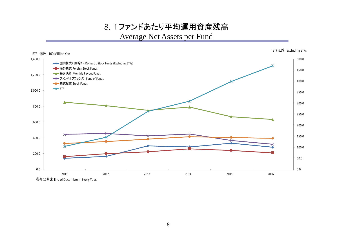8. 1ファンドあたり平均運用資産残高 Average Net Assets per Fund



8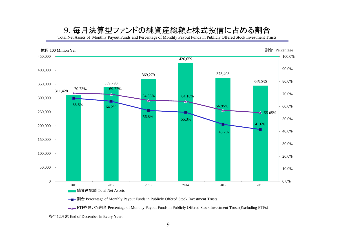### 9. 毎月決算型ファンドの純資産総額と株式投信に占める割合

Total Net Assets of Monthly Payout Funds and Percentage of Monthly Payout Funds in Publicly Offered Stock Investment Trusts



**→■→割合** Percentage of Monthly Payout Funds in Publicly Offered Stock Investment Trusts

<u>■■</u>ETFを除いた割合 Percentage of Monthly Payout Funds in Publicly Offered Stock Investment Trusts(Excluding ETFs)

各年12月末 End of December in Every Year.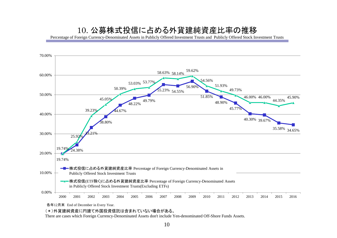#### 10. 公募株式投信に占める外貨建純資産比率の推移

Percentage of Foreign Currency-Denominated Assets in Publicly Offered Investment Trusts and Publicly Offered Stock Investment Trusts



各年12月末 End of December in Every Year.

(\*)外貨建純資産に円建て外国投資信託は含まれていない場合がある。

There are cases which Foreign Currency-Denominated Assets don't include Yen-denominated Off-Shore Funds Assets.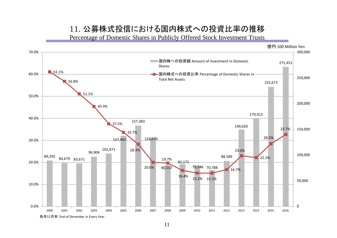### 11. 公募株式投信における国内株式への投資比率の推移

Percentage of Domestic Shares in Publicly Offered Stock Investment Trusts

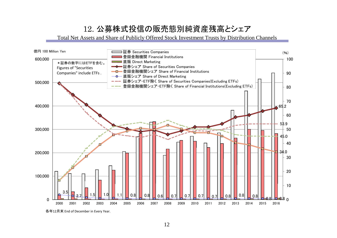# 12. 公募株式投信の販売態別純資産残高とシェア

Total Net Assets and Share of Publicly Offered Stock Investment Trusts by Distribution Channels



各年12月末 End of December in Every Year.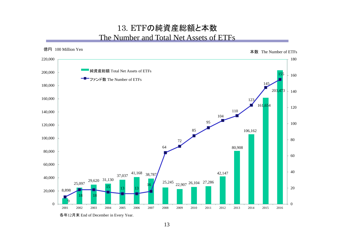#### 13. ETFの純資産総額と本数 The Number and Total Net Assets of ETFs



各年12月末 End of December in Every Year.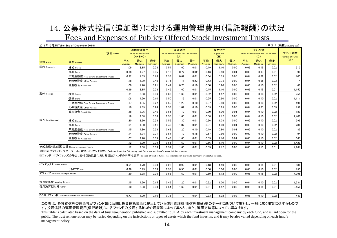### 14. 公募株式投信(追加型)における運用管理費用(信託報酬)の状況 Fees and Expenses of Publicy Offered Stock Investment Trusts

#### 2016年12月末(Table End of December 2016)

(単位:% (税抜Excluding tax))

| 項目 ITEMS                            |                                     | 運用管理費用<br><b>Trust Remuneration</b><br>$(A+B+C)$ |               |               | 委託会社<br>Trust Remuneration for The Trustor<br>(A) |               |               | 販売会社<br><b>Agent Fee</b><br>(B) |               |               | 受託会社<br><b>Trust Remuneration for The Trustee</b><br>(C) |                      |               | ファンド本数<br>Number of Funds |
|-------------------------------------|-------------------------------------|--------------------------------------------------|---------------|---------------|---------------------------------------------------|---------------|---------------|---------------------------------|---------------|---------------|----------------------------------------------------------|----------------------|---------------|---------------------------|
| 地域 Area                             | 資産 Assets                           | 平均<br>Average                                    | 最大<br>Maximum | 最小<br>Minimum | 平均<br>Average                                     | 最大<br>Maximum | 最小<br>Minimum | 平均<br>Average                   | 最大<br>Maximum | 最小<br>Minimum | 平均<br>Average                                            | 最大<br><b>Maximum</b> | 最小<br>Minimum | $(\mathbb{X})$            |
| 国内 Domestic                         | 株式 Stock                            | 1.09                                             | 2.15          | 0.03          | 0.54                                              | 1.60          | 0.01          | 0.49                            | 1.10          | 0.00          | 0.06                                                     | 0.15                 | 0.02          | 913                       |
|                                     | 債券 Bond                             | 0.38                                             | 1.27          | 0.05          | 0.18                                              | 0.72          | 0.02          | 0.16                            | 0.50          | 0.01          | 0.03                                                     | 0.07                 | 0.01          | 90                        |
|                                     | 不動産投信 Real Estate Investment Trusts | 0.72                                             | 1.35          | 0.16          | 0.33                                              | 0.69          | 0.01          | 0.34                            | 0.75          | 0.00          | 0.04                                                     | 0.08                 | 0.02          | 105                       |
|                                     | その他資産 Other Assets                  | 1.18                                             | 1.89          | 0.45          | 0.71                                              | 1.11          | 0.23          | 0.43                            | 0.75          | 0.00          | 0.04                                                     | 0.05                 | 0.03          | 4                         |
|                                     | 資産複合 Asset Mix                      | 1.00                                             | 1.70          | 0.21          | 0.44                                              | 0.75          | 0.10          | 0.50                            | 0.90          | 0.00          | 0.05                                                     | 0.10                 | 0.02          | 40                        |
|                                     |                                     | 0.99                                             | 2.15          | 0.03          | 0.49                                              | 1.60          | 0.01          | 0.45                            | 1.10          | 0.00          | 0.06                                                     | 0.15                 | 0.01          | 1,152                     |
| 海外 Foreign                          | 株式 Stock                            | 1.31                                             | 2.38          | 0.06          | 0.63                                              | 1.60          | 0.01          | 0.62                            | 1.12          | 0.00          | 0.05                                                     | 0.10                 | 0.02          | 755                       |
|                                     | 債券 Bond                             | 1.08                                             | 1.90          | 0.10          | 0.50                                              | 1.13          | 0.01          | 0.55                            | 0.90          | 0.00          | 0.04                                                     | 0.10                 | 0.02          | 1,111                     |
|                                     | 不動産投信 Real Estate Investment Trusts | 1.17                                             | 1.85          | 0.27          | 0.55                                              | 1.20          | 0.10          | 0.57                            | 0.80          | 0.00          | 0.05                                                     | 0.10                 | 0.02          | 196                       |
|                                     | その他資産 Other Assets                  | 1.10                                             | 1.89          | 0.24          | 0.53                                              | 1.09          | 0.10          | 0.53                            | 0.85          | 0.00          | 0.04                                                     | 0.07                 | 0.03          | 158                       |
|                                     | 資産複合 Asset Mix                      | 1.28                                             | 2.06          | 0.46          | 0.55                                              | 1.12          | 0.01          | 0.70                            | 1.00          | 0.01          | 0.04                                                     | 0.10                 | 0.02          | 180                       |
|                                     |                                     | 1.18                                             | 2.38          | 0.06          | 0.55                                              | 1.60          | 0.01          | 0.58                            | 1.12          | 0.00          | 0.04                                                     | 0.10                 | 0.02          | 2,400                     |
| 内外 InterNational                    | 株式 Stock                            | 1.30                                             | 2.20          | 0.23          | 0.59                                              | 1.30          | 0.01          | 0.66                            | 1.03          | 0.00          | 0.05                                                     | 0.10                 | 0.02          | 299                       |
|                                     | 債券 Bond                             | 1.01                                             | 1.80          | 0.11          | 0.46                                              | 1.02          | 0.01          | 0.51                            | 1.00          | 0.01          | 0.03                                                     | 0.10                 | 0.02          | 284                       |
|                                     | 不動産投信 Real Estate Investment Trusts | 1.15                                             | 1.80          | 0.23          | 0.62                                              | 1.20          | 0.10          | 0.49                            | 0.80          | 0.01          | 0.05                                                     | 0.10                 | 0.02          | 85                        |
|                                     | その他資産 Other Assets                  | 1.14                                             | 1.84          | 0.31          | 0.54                                              | 1.12          | 0.18          | 0.57                            | 0.80          | 0.00          | 0.03                                                     | 0.10                 | 0.02          | 94                        |
|                                     | 資産複合 Asset Mix                      | 1.07                                             | 2.20          | 0.09          | 0.48                                              | 1.60          | 0.01          | 0.55                            | 1.10          | 0.01          | 0.05                                                     | 0.10                 | 0.02          | 667                       |
|                                     |                                     | 1.12                                             | 2.20          | 0.09          | 0.51                                              | 1.60          | 0.01          | 0.56                            | 1.10          | 0.00          | 0.04                                                     | 0.10                 | 0.02          | 1,429                     |
| 株式投信(追加型)合計 Stock Investment Trusts |                                     | 1.12                                             | 2.38          | 0.03          | 0.52                                              | 1.60          | 0.01          | 0.55                            | 1.12          | 0.00          | 0.05                                                     | 0.15                 | 0.01          | 4,981                     |

※DC向けファンド、マネープール、財形、ミリオンを除外 Excluded funds for DC, money pool funds and employee's asset-building shemes.

※ファンド・オブ・ファンズの場合、交付目論見書における当該ファンドの料率で計算 In case of fund of funds, rate disclosed in the fund's summary prospectus is used.

| インデックス Index Funds                         |      | 1.70             | 0.03 | 0.28 | 0.90 | 0.01 | 0.18 | 1.10 | 0.00 | 0.05 | 0.15 | 0.01 | 586   |
|--------------------------------------------|------|------------------|------|------|------|------|------|------|------|------|------|------|-------|
| うちETF ETF                                  | 0.38 | 0.95             | 0.03 | 0.33 | 0.90 | 0.01 | 0.00 | 0.00 | 0.00 | 0.05 | 0.10 | 0.02 | 1551  |
| アクティブ Actively Managed Funds               |      | 2.38             | 0.05 | 0.56 | 1.60 | 0.01 | 0.59 | 1.12 | 0.00 | 0.05 | 0.15 | 0.02 | 4,395 |
|                                            |      |                  |      |      |      |      |      |      |      |      |      |      |       |
| 毎月決算型 Monthly Payout                       |      | 1.90             | 0.15 | 0.49 | 1.20 | 0.01 | 0.62 | 1.00 | 0.00 | 0.04 | 0.10 | 0.02 | 1.531 |
| 每月決算型以外 Other                              |      | 2.38<br>$1.10 -$ | 0.03 | 0.54 | 1.60 | 0.01 | 0.51 | 1.12 | 0.00 | 0.05 | 0.15 | 0.01 | 3,450 |
|                                            |      |                  |      |      |      |      |      |      |      |      |      |      |       |
| DC向けファンド Defined Contribution Pension Plan |      | 1.90             | 0.10 | 0.35 | 1.10 | 0.04 | 0.33 | 1.02 | 0.02 | 0.05 | 0.10 | 0.02 | 440   |

#### この表は、各投資信託委託会社がファンド毎に公開し投資信託協会に提出している運用管理費用(信託報酬)率のデータに基づいて集計し、一般に広く閲覧に供するもので す。投資信託の運用管理費用(信託報酬)は、各ファンドの投資する地域や資産等によって異なり、また、運用方法等によっても異なります。

This table is calculated based on the data of trust remuneration published and submitted to JITA by each investment management company by each fund, and is laid open for the public. The trust remuneration may be varied depending on the jurisdictions or types of assets which the fund invest in, and it may be also varied depending on each fund's management policy.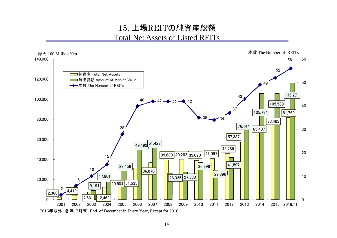### 15. 上場REITの純資産総額 Total Net Assets of Listed REITs

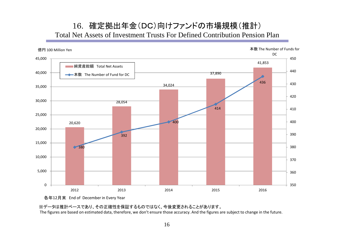### 16. 確定拠出年金(DC)向けファンドの市場規模(推計) Total Net Assets of Investment Trusts For Defined Contribution Pension Plan





※データは推計ベースであり、その正確性を保証するものではなく、今後変更されることがあります。

The figures are based on estimated data, therefore, we don't ensure those accuracy. And the figures are subject to change in the future.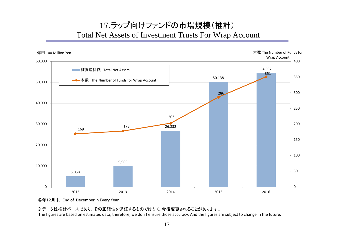# 17.ラップ向けファンドの市場規模(推計) Total Net Assets of Investment Trusts For Wrap Account



各年12月末 End of December in Every Year

※データは推計ベースであり、その正確性を保証するものではなく、今後変更されることがあります。

The figures are based on estimated data, therefore, we don't ensure those accuracy. And the figures are subject to change in the future.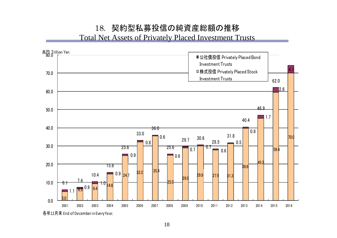# 18. 契約型私募投信の純資産総額の推移

Total Net Assets of Privately Placed Investment Trusts



18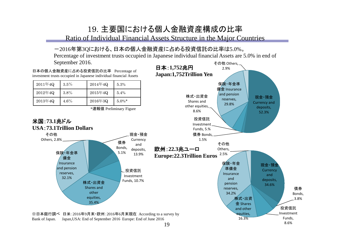### 19. 主要国における個人金融資産構成の比率

Ratio of Individual Financial Assets Structure in the Major Countries

#### -2016年第3Qにおける、日本の個人金融資産に占める投資信託の比率は5.0%。

Percentage of investment trusts occupied in Japanese individual financial Assets are 5.0% in end of

September 2016.

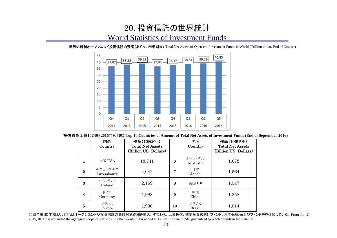### 20. 投資信託の世界統計 World Statistics of Investment Funds



世界の規制オープンエンド投資信託の残高(兆ドル、四半期末) Total Net Assets of Open-end Investment Funds in World (Trillion dollar/ End of Quarter)

投信残高上位**10**カ国(**2016**年**9**月末) **Top 10 Countries of Amount of Total Net Assets of Investment Funds (End of September 2016)**

|          | 国名<br>Country         | 残高(10億ドル)<br><b>Total Net Assets</b><br>(Billion US Dollars) |    | 国名<br>Country         | 残高(10億ドル)<br><b>Total Net Assets</b><br>(Billion US Dollars) |
|----------|-----------------------|--------------------------------------------------------------|----|-----------------------|--------------------------------------------------------------|
| 1        | 米国 $USA$              | 18,741                                                       | 6  | オーストラリア<br>Australia  | 1,672                                                        |
| $\bf{2}$ | ルクセンブルグ<br>Luxembourg | 4,042                                                        | 7  | 日本<br>Japan           | 1,564                                                        |
| 3        | アイルランド<br>Ireland     | 2,169                                                        | 8  | 英国 UK                 | 1,547                                                        |
| 4        | ドイツ<br>Germany        | 1,988                                                        | 9  | 中国<br>China           | 1,258                                                        |
| 5        | フランス<br>France        | 1,930                                                        | 10 | ブラジル<br><b>Brazil</b> | 1,014                                                        |

2015年第1四半期より、IIFAはオープンエンド型投資信託の集計対象範囲を拡大、すなわち、上場投信、機関投資家向けファンド、元本保証/保全型ファンド等を追加している。 From the 1Q 2015, IIFA has expanded the aggregate scope of statistics. In other words, IIFA added ETFs, institutional funds, guaranteed /protected funds in the statistics.